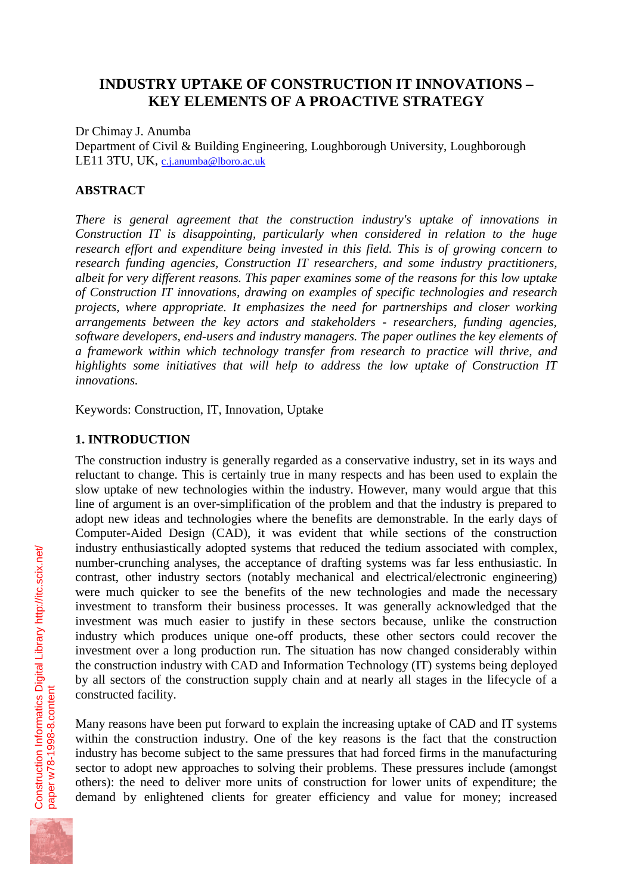## **INDUSTRY UPTAKE OF CONSTRUCTION IT INNOVATIONS – KEY ELEMENTS OF A PROACTIVE STRATEGY**

Dr Chimay J. Anumba

Department of Civil & Building Engineering, Loughborough University, Loughborough LE11 3TU, UK, c.j.anumba@lboro.ac.uk

### **ABSTRACT**

*There is general agreement that the construction industry's uptake of innovations in Construction IT is disappointing, particularly when considered in relation to the huge research effort and expenditure being invested in this field. This is of growing concern to research funding agencies, Construction IT researchers, and some industry practitioners, albeit for very different reasons. This paper examines some of the reasons for this low uptake of Construction IT innovations, drawing on examples of specific technologies and research projects, where appropriate. It emphasizes the need for partnerships and closer working arrangements between the key actors and stakeholders - researchers, funding agencies, software developers, end-users and industry managers. The paper outlines the key elements of a framework within which technology transfer from research to practice will thrive, and highlights some initiatives that will help to address the low uptake of Construction IT innovations.*

Keywords: Construction, IT, Innovation, Uptake

### **1. INTRODUCTION**

The construction industry is generally regarded as a conservative industry, set in its ways and reluctant to change. This is certainly true in many respects and has been used to explain the slow uptake of new technologies within the industry. However, many would argue that this line of argument is an over-simplification of the problem and that the industry is prepared to adopt new ideas and technologies where the benefits are demonstrable. In the early days of Computer-Aided Design (CAD), it was evident that while sections of the construction industry enthusiastically adopted systems that reduced the tedium associated with complex, number-crunching analyses, the acceptance of drafting systems was far less enthusiastic. In contrast, other industry sectors (notably mechanical and electrical/electronic engineering) were much quicker to see the benefits of the new technologies and made the necessary investment to transform their business processes. It was generally acknowledged that the investment was much easier to justify in these sectors because, unlike the construction industry which produces unique one-off products, these other sectors could recover the investment over a long production run. The situation has now changed considerably within the construction industry with CAD and Information Technology (IT) systems being deployed by all sectors of the construction supply chain and at nearly all stages in the lifecycle of a constructed facility.

Many reasons have been put forward to explain the increasing uptake of CAD and IT systems within the construction industry. One of the key reasons is the fact that the construction industry has become subject to the same pressures that had forced firms in the manufacturing sector to adopt new approaches to solving their problems. These pressures include (amongst others): the need to deliver more units of construction for lower units of expenditure; the demand by enlightened clients for greater efficiency and value for money; increased

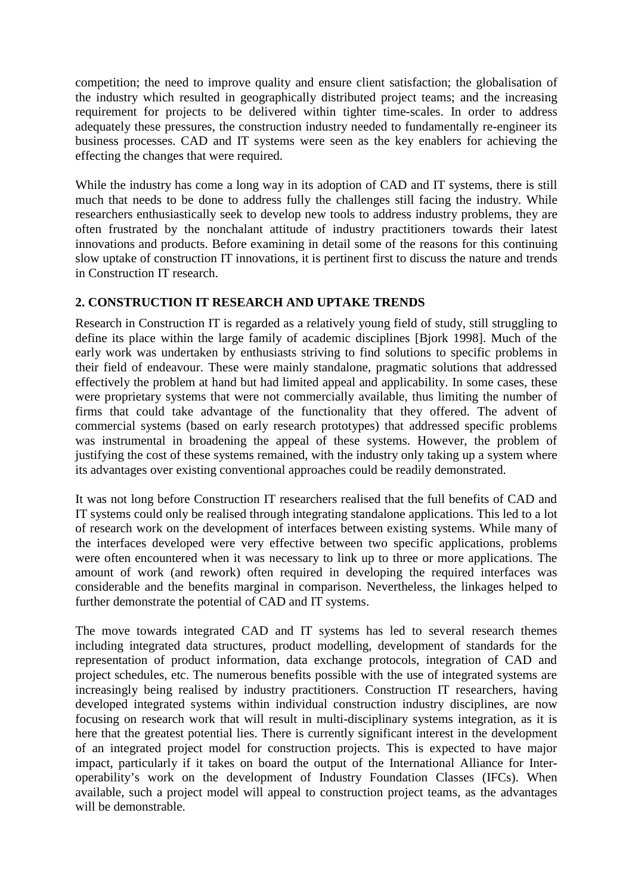competition; the need to improve quality and ensure client satisfaction; the globalisation of the industry which resulted in geographically distributed project teams; and the increasing requirement for projects to be delivered within tighter time-scales. In order to address adequately these pressures, the construction industry needed to fundamentally re-engineer its business processes. CAD and IT systems were seen as the key enablers for achieving the effecting the changes that were required.

While the industry has come a long way in its adoption of CAD and IT systems, there is still much that needs to be done to address fully the challenges still facing the industry. While researchers enthusiastically seek to develop new tools to address industry problems, they are often frustrated by the nonchalant attitude of industry practitioners towards their latest innovations and products. Before examining in detail some of the reasons for this continuing slow uptake of construction IT innovations, it is pertinent first to discuss the nature and trends in Construction IT research.

#### **2. CONSTRUCTION IT RESEARCH AND UPTAKE TRENDS**

Research in Construction IT is regarded as a relatively young field of study, still struggling to define its place within the large family of academic disciplines [Bjork 1998]. Much of the early work was undertaken by enthusiasts striving to find solutions to specific problems in their field of endeavour. These were mainly standalone, pragmatic solutions that addressed effectively the problem at hand but had limited appeal and applicability. In some cases, these were proprietary systems that were not commercially available, thus limiting the number of firms that could take advantage of the functionality that they offered. The advent of commercial systems (based on early research prototypes) that addressed specific problems was instrumental in broadening the appeal of these systems. However, the problem of justifying the cost of these systems remained, with the industry only taking up a system where its advantages over existing conventional approaches could be readily demonstrated.

It was not long before Construction IT researchers realised that the full benefits of CAD and IT systems could only be realised through integrating standalone applications. This led to a lot of research work on the development of interfaces between existing systems. While many of the interfaces developed were very effective between two specific applications, problems were often encountered when it was necessary to link up to three or more applications. The amount of work (and rework) often required in developing the required interfaces was considerable and the benefits marginal in comparison. Nevertheless, the linkages helped to further demonstrate the potential of CAD and IT systems.

The move towards integrated CAD and IT systems has led to several research themes including integrated data structures, product modelling, development of standards for the representation of product information, data exchange protocols, integration of CAD and project schedules, etc. The numerous benefits possible with the use of integrated systems are increasingly being realised by industry practitioners. Construction IT researchers, having developed integrated systems within individual construction industry disciplines, are now focusing on research work that will result in multi-disciplinary systems integration, as it is here that the greatest potential lies. There is currently significant interest in the development of an integrated project model for construction projects. This is expected to have major impact, particularly if it takes on board the output of the International Alliance for Interoperability's work on the development of Industry Foundation Classes (IFCs). When available, such a project model will appeal to construction project teams, as the advantages will be demonstrable.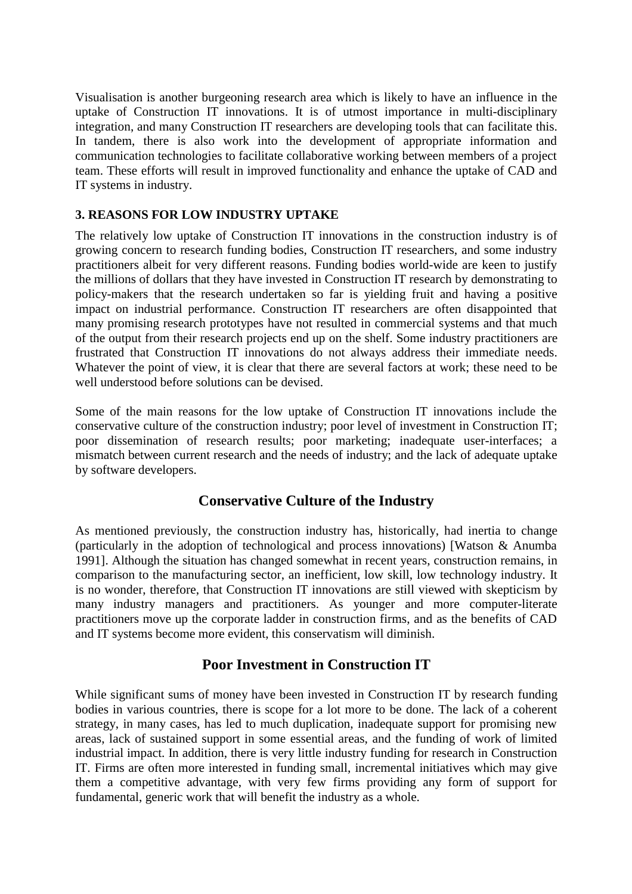Visualisation is another burgeoning research area which is likely to have an influence in the uptake of Construction IT innovations. It is of utmost importance in multi-disciplinary integration, and many Construction IT researchers are developing tools that can facilitate this. In tandem, there is also work into the development of appropriate information and communication technologies to facilitate collaborative working between members of a project team. These efforts will result in improved functionality and enhance the uptake of CAD and IT systems in industry.

### **3. REASONS FOR LOW INDUSTRY UPTAKE**

The relatively low uptake of Construction IT innovations in the construction industry is of growing concern to research funding bodies, Construction IT researchers, and some industry practitioners albeit for very different reasons. Funding bodies world-wide are keen to justify the millions of dollars that they have invested in Construction IT research by demonstrating to policy-makers that the research undertaken so far is yielding fruit and having a positive impact on industrial performance. Construction IT researchers are often disappointed that many promising research prototypes have not resulted in commercial systems and that much of the output from their research projects end up on the shelf. Some industry practitioners are frustrated that Construction IT innovations do not always address their immediate needs. Whatever the point of view, it is clear that there are several factors at work; these need to be well understood before solutions can be devised.

Some of the main reasons for the low uptake of Construction IT innovations include the conservative culture of the construction industry; poor level of investment in Construction IT; poor dissemination of research results; poor marketing; inadequate user-interfaces; a mismatch between current research and the needs of industry; and the lack of adequate uptake by software developers.

# **Conservative Culture of the Industry**

As mentioned previously, the construction industry has, historically, had inertia to change (particularly in the adoption of technological and process innovations) [Watson & Anumba 1991]. Although the situation has changed somewhat in recent years, construction remains, in comparison to the manufacturing sector, an inefficient, low skill, low technology industry. It is no wonder, therefore, that Construction IT innovations are still viewed with skepticism by many industry managers and practitioners. As younger and more computer-literate practitioners move up the corporate ladder in construction firms, and as the benefits of CAD and IT systems become more evident, this conservatism will diminish.

# **Poor Investment in Construction IT**

While significant sums of money have been invested in Construction IT by research funding bodies in various countries, there is scope for a lot more to be done. The lack of a coherent strategy, in many cases, has led to much duplication, inadequate support for promising new areas, lack of sustained support in some essential areas, and the funding of work of limited industrial impact. In addition, there is very little industry funding for research in Construction IT. Firms are often more interested in funding small, incremental initiatives which may give them a competitive advantage, with very few firms providing any form of support for fundamental, generic work that will benefit the industry as a whole.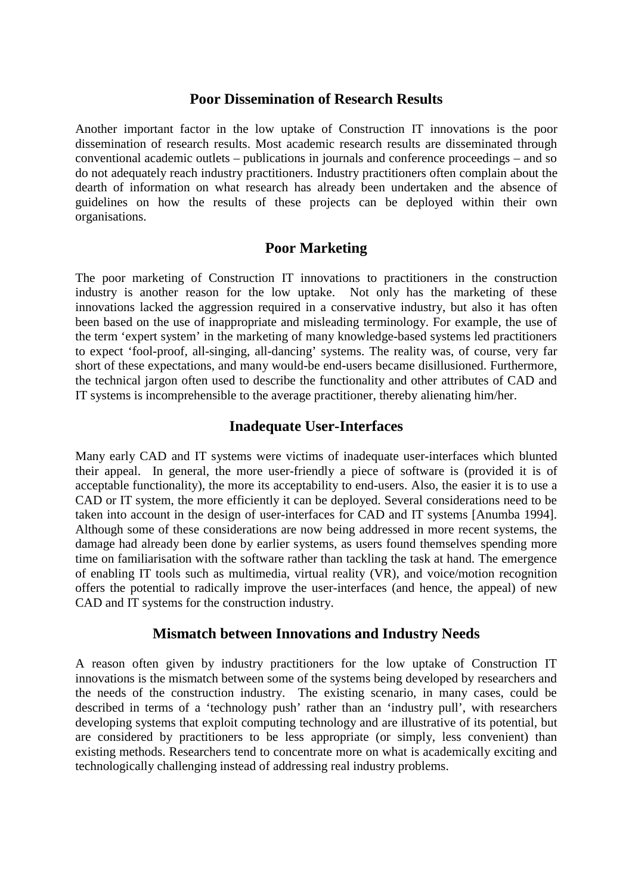### **Poor Dissemination of Research Results**

Another important factor in the low uptake of Construction IT innovations is the poor dissemination of research results. Most academic research results are disseminated through conventional academic outlets – publications in journals and conference proceedings – and so do not adequately reach industry practitioners. Industry practitioners often complain about the dearth of information on what research has already been undertaken and the absence of guidelines on how the results of these projects can be deployed within their own organisations.

### **Poor Marketing**

The poor marketing of Construction IT innovations to practitioners in the construction industry is another reason for the low uptake. Not only has the marketing of these innovations lacked the aggression required in a conservative industry, but also it has often been based on the use of inappropriate and misleading terminology. For example, the use of the term 'expert system' in the marketing of many knowledge-based systems led practitioners to expect 'fool-proof, all-singing, all-dancing' systems. The reality was, of course, very far short of these expectations, and many would-be end-users became disillusioned. Furthermore, the technical jargon often used to describe the functionality and other attributes of CAD and IT systems is incomprehensible to the average practitioner, thereby alienating him/her.

### **Inadequate User-Interfaces**

Many early CAD and IT systems were victims of inadequate user-interfaces which blunted their appeal. In general, the more user-friendly a piece of software is (provided it is of acceptable functionality), the more its acceptability to end-users. Also, the easier it is to use a CAD or IT system, the more efficiently it can be deployed. Several considerations need to be taken into account in the design of user-interfaces for CAD and IT systems [Anumba 1994]. Although some of these considerations are now being addressed in more recent systems, the damage had already been done by earlier systems, as users found themselves spending more time on familiarisation with the software rather than tackling the task at hand. The emergence of enabling IT tools such as multimedia, virtual reality (VR), and voice/motion recognition offers the potential to radically improve the user-interfaces (and hence, the appeal) of new CAD and IT systems for the construction industry.

### **Mismatch between Innovations and Industry Needs**

A reason often given by industry practitioners for the low uptake of Construction IT innovations is the mismatch between some of the systems being developed by researchers and the needs of the construction industry. The existing scenario, in many cases, could be described in terms of a 'technology push' rather than an 'industry pull', with researchers developing systems that exploit computing technology and are illustrative of its potential, but are considered by practitioners to be less appropriate (or simply, less convenient) than existing methods. Researchers tend to concentrate more on what is academically exciting and technologically challenging instead of addressing real industry problems.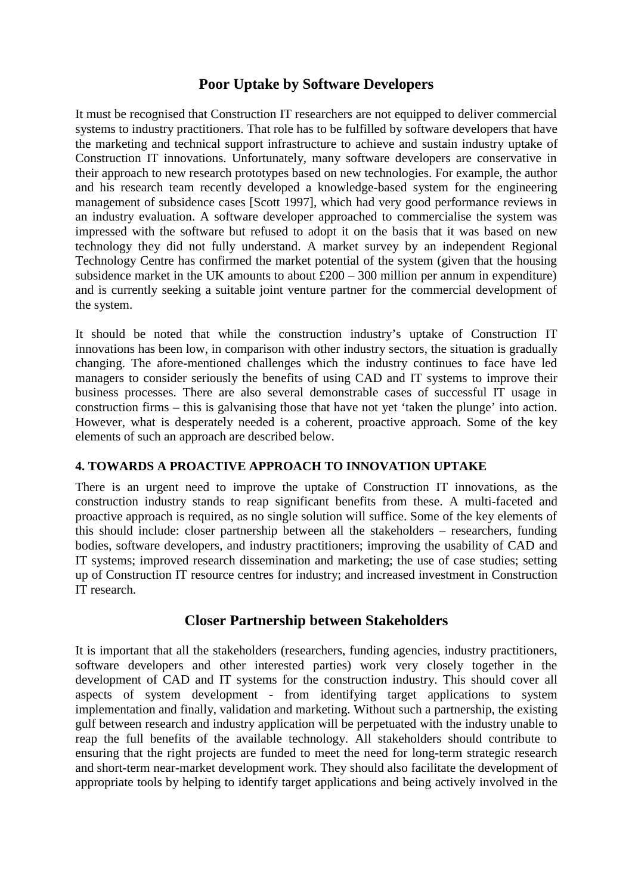## **Poor Uptake by Software Developers**

It must be recognised that Construction IT researchers are not equipped to deliver commercial systems to industry practitioners. That role has to be fulfilled by software developers that have the marketing and technical support infrastructure to achieve and sustain industry uptake of Construction IT innovations. Unfortunately, many software developers are conservative in their approach to new research prototypes based on new technologies. For example, the author and his research team recently developed a knowledge-based system for the engineering management of subsidence cases [Scott 1997], which had very good performance reviews in an industry evaluation. A software developer approached to commercialise the system was impressed with the software but refused to adopt it on the basis that it was based on new technology they did not fully understand. A market survey by an independent Regional Technology Centre has confirmed the market potential of the system (given that the housing subsidence market in the UK amounts to about  $\text{\pounds}200 - 300$  million per annum in expenditure) and is currently seeking a suitable joint venture partner for the commercial development of the system.

It should be noted that while the construction industry's uptake of Construction IT innovations has been low, in comparison with other industry sectors, the situation is gradually changing. The afore-mentioned challenges which the industry continues to face have led managers to consider seriously the benefits of using CAD and IT systems to improve their business processes. There are also several demonstrable cases of successful IT usage in construction firms – this is galvanising those that have not yet 'taken the plunge' into action. However, what is desperately needed is a coherent, proactive approach. Some of the key elements of such an approach are described below.

### **4. TOWARDS A PROACTIVE APPROACH TO INNOVATION UPTAKE**

There is an urgent need to improve the uptake of Construction IT innovations, as the construction industry stands to reap significant benefits from these. A multi-faceted and proactive approach is required, as no single solution will suffice. Some of the key elements of this should include: closer partnership between all the stakeholders – researchers, funding bodies, software developers, and industry practitioners; improving the usability of CAD and IT systems; improved research dissemination and marketing; the use of case studies; setting up of Construction IT resource centres for industry; and increased investment in Construction IT research.

### **Closer Partnership between Stakeholders**

It is important that all the stakeholders (researchers, funding agencies, industry practitioners, software developers and other interested parties) work very closely together in the development of CAD and IT systems for the construction industry. This should cover all aspects of system development - from identifying target applications to system implementation and finally, validation and marketing. Without such a partnership, the existing gulf between research and industry application will be perpetuated with the industry unable to reap the full benefits of the available technology. All stakeholders should contribute to ensuring that the right projects are funded to meet the need for long-term strategic research and short-term near-market development work. They should also facilitate the development of appropriate tools by helping to identify target applications and being actively involved in the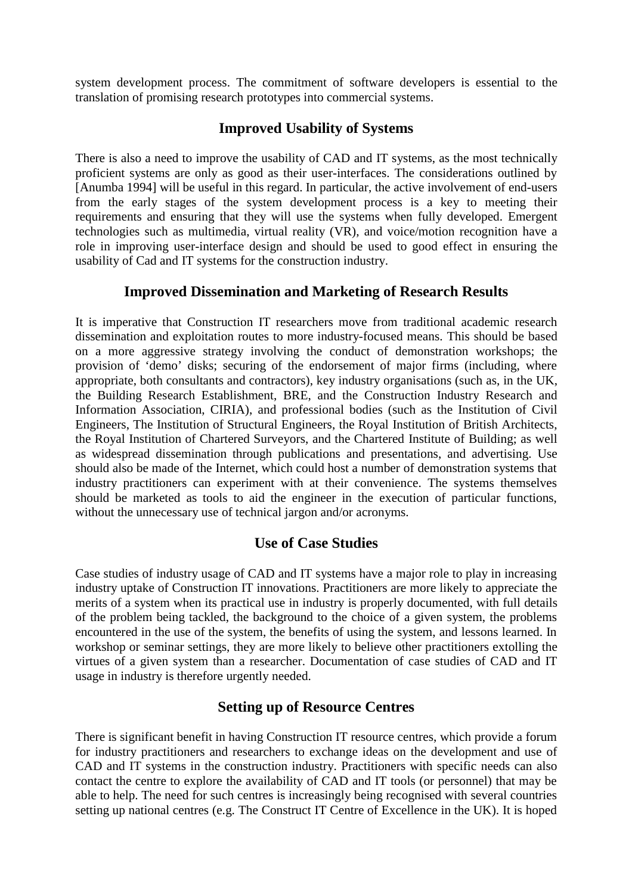system development process. The commitment of software developers is essential to the translation of promising research prototypes into commercial systems.

## **Improved Usability of Systems**

There is also a need to improve the usability of CAD and IT systems, as the most technically proficient systems are only as good as their user-interfaces. The considerations outlined by [Anumba 1994] will be useful in this regard. In particular, the active involvement of end-users from the early stages of the system development process is a key to meeting their requirements and ensuring that they will use the systems when fully developed. Emergent technologies such as multimedia, virtual reality (VR), and voice/motion recognition have a role in improving user-interface design and should be used to good effect in ensuring the usability of Cad and IT systems for the construction industry.

## **Improved Dissemination and Marketing of Research Results**

It is imperative that Construction IT researchers move from traditional academic research dissemination and exploitation routes to more industry-focused means. This should be based on a more aggressive strategy involving the conduct of demonstration workshops; the provision of 'demo' disks; securing of the endorsement of major firms (including, where appropriate, both consultants and contractors), key industry organisations (such as, in the UK, the Building Research Establishment, BRE, and the Construction Industry Research and Information Association, CIRIA), and professional bodies (such as the Institution of Civil Engineers, The Institution of Structural Engineers, the Royal Institution of British Architects, the Royal Institution of Chartered Surveyors, and the Chartered Institute of Building; as well as widespread dissemination through publications and presentations, and advertising. Use should also be made of the Internet, which could host a number of demonstration systems that industry practitioners can experiment with at their convenience. The systems themselves should be marketed as tools to aid the engineer in the execution of particular functions, without the unnecessary use of technical jargon and/or acronyms.

# **Use of Case Studies**

Case studies of industry usage of CAD and IT systems have a major role to play in increasing industry uptake of Construction IT innovations. Practitioners are more likely to appreciate the merits of a system when its practical use in industry is properly documented, with full details of the problem being tackled, the background to the choice of a given system, the problems encountered in the use of the system, the benefits of using the system, and lessons learned. In workshop or seminar settings, they are more likely to believe other practitioners extolling the virtues of a given system than a researcher. Documentation of case studies of CAD and IT usage in industry is therefore urgently needed.

# **Setting up of Resource Centres**

There is significant benefit in having Construction IT resource centres, which provide a forum for industry practitioners and researchers to exchange ideas on the development and use of CAD and IT systems in the construction industry. Practitioners with specific needs can also contact the centre to explore the availability of CAD and IT tools (or personnel) that may be able to help. The need for such centres is increasingly being recognised with several countries setting up national centres (e.g. The Construct IT Centre of Excellence in the UK). It is hoped